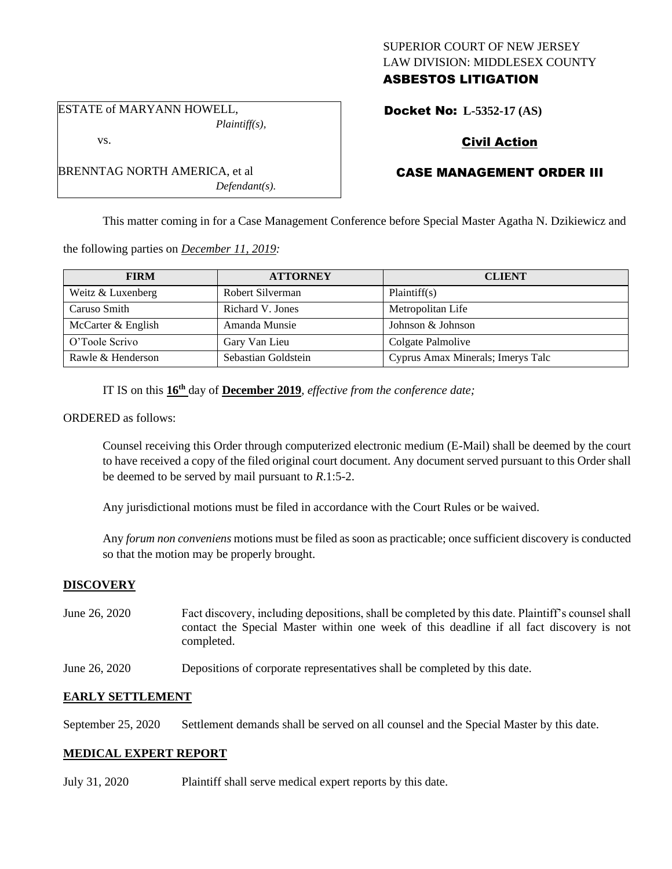# SUPERIOR COURT OF NEW JERSEY LAW DIVISION: MIDDLESEX COUNTY ASBESTOS LITIGATION

Docket No: **L-5352-17 (AS)** 

# Civil Action

# CASE MANAGEMENT ORDER III

This matter coming in for a Case Management Conference before Special Master Agatha N. Dzikiewicz and

the following parties on *December 11, 2019:*

*Plaintiff(s),*

*Defendant(s).*

ESTATE of MARYANN HOWELL,

BRENNTAG NORTH AMERICA, et al

vs.

| <b>FIRM</b>        | <b>ATTORNEY</b>     | <b>CLIENT</b>                     |
|--------------------|---------------------|-----------------------------------|
| Weitz & Luxenberg  | Robert Silverman    | Plaintiff(s)                      |
| Caruso Smith       | Richard V. Jones    | Metropolitan Life                 |
| McCarter & English | Amanda Munsie       | Johnson & Johnson                 |
| O'Toole Scrivo     | Gary Van Lieu       | Colgate Palmolive                 |
| Rawle & Henderson  | Sebastian Goldstein | Cyprus Amax Minerals; Imerys Talc |

IT IS on this **16th** day of **December 2019**, *effective from the conference date;*

ORDERED as follows:

Counsel receiving this Order through computerized electronic medium (E-Mail) shall be deemed by the court to have received a copy of the filed original court document. Any document served pursuant to this Order shall be deemed to be served by mail pursuant to *R*.1:5-2.

Any jurisdictional motions must be filed in accordance with the Court Rules or be waived.

Any *forum non conveniens* motions must be filed as soon as practicable; once sufficient discovery is conducted so that the motion may be properly brought.

### **DISCOVERY**

- June 26, 2020 Fact discovery, including depositions, shall be completed by this date. Plaintiff's counsel shall contact the Special Master within one week of this deadline if all fact discovery is not completed.
- June 26, 2020 Depositions of corporate representatives shall be completed by this date.

### **EARLY SETTLEMENT**

September 25, 2020 Settlement demands shall be served on all counsel and the Special Master by this date.

### **MEDICAL EXPERT REPORT**

July 31, 2020 Plaintiff shall serve medical expert reports by this date.